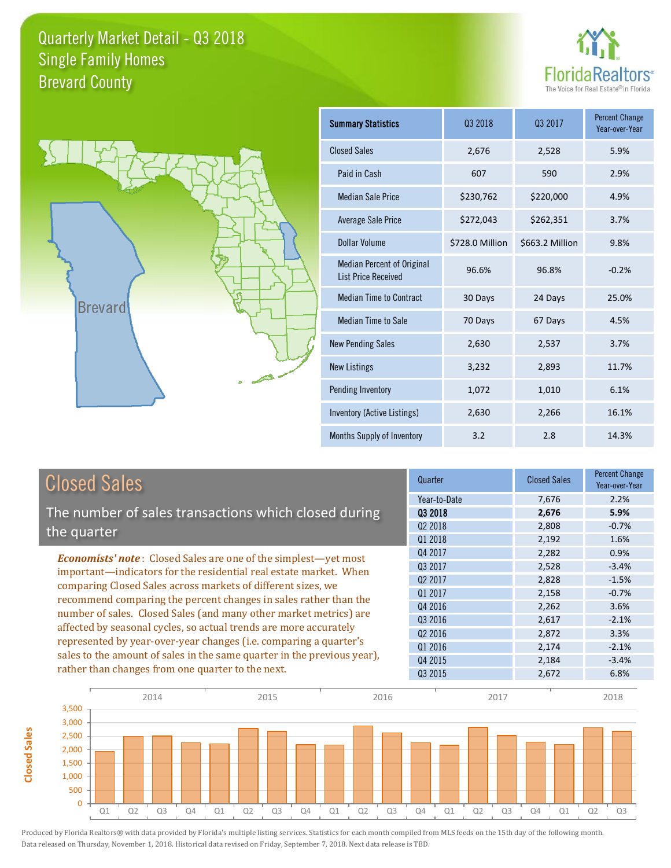



**Closed Sales**

**Closed Sales** 

| <b>Summary Statistics</b>                                       | Q3 2018         | 03 2017         | <b>Percent Change</b><br>Year-over-Year |
|-----------------------------------------------------------------|-----------------|-----------------|-----------------------------------------|
| <b>Closed Sales</b>                                             | 2,676           | 2,528           | 5.9%                                    |
| Paid in Cash                                                    | 607             | 590             | 2.9%                                    |
| <b>Median Sale Price</b>                                        | \$230,762       | \$220,000       | 4.9%                                    |
| Average Sale Price                                              | \$272,043       | \$262,351       | 3.7%                                    |
| Dollar Volume                                                   | \$728.0 Million | \$663.2 Million | 9.8%                                    |
| <b>Median Percent of Original</b><br><b>List Price Received</b> | 96.6%           | 96.8%           | $-0.2%$                                 |
| <b>Median Time to Contract</b>                                  | 30 Days         | 24 Days         | 25.0%                                   |
| Median Time to Sale                                             | 70 Days         | 67 Days         | 4.5%                                    |
| <b>New Pending Sales</b>                                        | 2,630           | 2,537           | 3.7%                                    |
| <b>New Listings</b>                                             | 3,232           | 2,893           | 11.7%                                   |
| Pending Inventory                                               | 1,072           | 1,010           | 6.1%                                    |
| Inventory (Active Listings)                                     | 2,630           | 2,266           | 16.1%                                   |
| Months Supply of Inventory                                      | 3.2             | 2.8             | 14.3%                                   |

| <b>Closed Sales</b>                                                     | Quarter             | <b>Closed Sales</b> | <b>Percent Change</b><br>Year-over-Year |
|-------------------------------------------------------------------------|---------------------|---------------------|-----------------------------------------|
|                                                                         | Year-to-Date        | 7,676               | 2.2%                                    |
| The number of sales transactions which closed during                    | 03 2018             | 2,676               | 5.9%                                    |
| the quarter                                                             | Q <sub>2</sub> 2018 | 2,808               | $-0.7%$                                 |
|                                                                         | Q1 2018             | 2,192               | 1.6%                                    |
| <b>Economists' note:</b> Closed Sales are one of the simplest—yet most  | Q4 2017             | 2,282               | 0.9%                                    |
| important-indicators for the residential real estate market. When       | Q3 2017             | 2,528               | $-3.4%$                                 |
| comparing Closed Sales across markets of different sizes, we            | Q <sub>2</sub> 2017 | 2,828               | $-1.5%$                                 |
| recommend comparing the percent changes in sales rather than the        | Q1 2017             | 2,158               | $-0.7%$                                 |
|                                                                         | Q4 2016             | 2,262               | 3.6%                                    |
| number of sales. Closed Sales (and many other market metrics) are       | Q3 2016             | 2,617               | $-2.1%$                                 |
| affected by seasonal cycles, so actual trends are more accurately       | Q <sub>2</sub> 2016 | 2,872               | 3.3%                                    |
| represented by year-over-year changes (i.e. comparing a quarter's       | Q1 2016             | 2,174               | $-2.1%$                                 |
| sales to the amount of sales in the same quarter in the previous year), | Q4 2015             | 2,184               | $-3.4%$                                 |
| rather than changes from one quarter to the next.                       | Q3 2015             | 2,672               | 6.8%                                    |

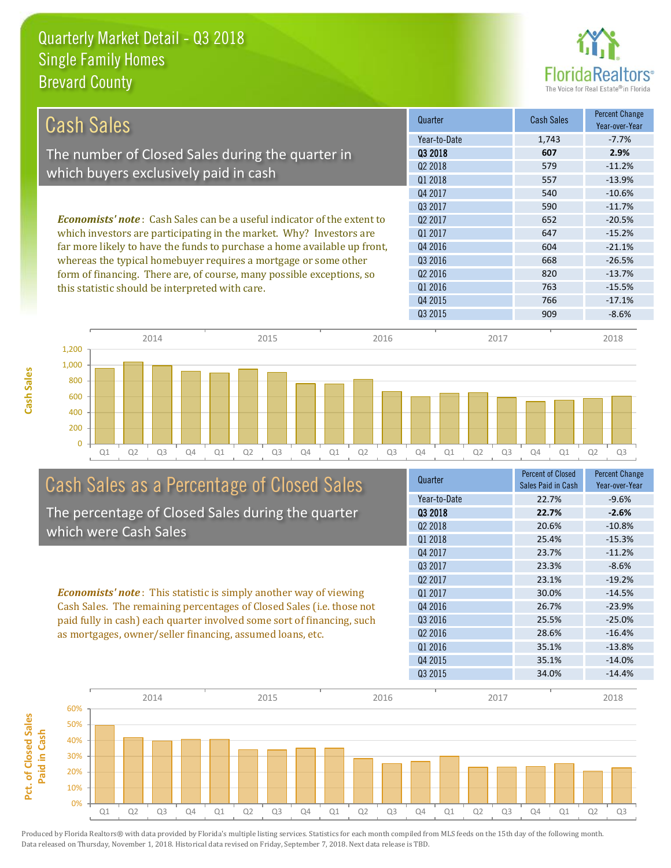

| Cash Sales                                                                     | Quarter             | <b>Cash Sales</b> | <b>Percent Change</b><br>Year-over-Year |
|--------------------------------------------------------------------------------|---------------------|-------------------|-----------------------------------------|
|                                                                                | Year-to-Date        | 1,743             | $-7.7%$                                 |
| The number of Closed Sales during the quarter in                               | 03 2018             | 607               | 2.9%                                    |
|                                                                                | 02 2018             | 579               | $-11.2%$                                |
| which buyers exclusively paid in cash                                          | Q1 2018             | 557               | $-13.9%$                                |
|                                                                                | Q4 2017             | 540               | $-10.6%$                                |
|                                                                                | 03 2017             | 590               | $-11.7%$                                |
| <b>Economists' note:</b> Cash Sales can be a useful indicator of the extent to | Q <sub>2</sub> 2017 | 652               | $-20.5%$                                |
| which investors are participating in the market. Why? Investors are            | Q1 2017             | 647               | $-15.2%$                                |
| far more likely to have the funds to purchase a home available up front,       | Q4 2016             | 604               | $-21.1%$                                |
| whereas the typical homebuyer requires a mortgage or some other                | Q3 2016             | 668               | $-26.5%$                                |
| form of financing. There are, of course, many possible exceptions, so          | Q <sub>2</sub> 2016 | 820               | $-13.7%$                                |
| this statistic should be interpreted with care.                                | Q1 2016             | 763               | $-15.5%$                                |
|                                                                                | Q4 2015             | 766               | $-17.1%$                                |
|                                                                                | Q3 2015             | 909               | $-8.6%$                                 |
| 2011<br>2015<br>201C                                                           | 2017                |                   | 2010                                    |



# Cash Sales as a Percentage of Closed Sales

The percentage of Closed Sales during the quarter which were Cash Sales

*Economists' note* : This statistic is simply another way of viewing Cash Sales. The remaining percentages of Closed Sales (i.e. those not paid fully in cash) each quarter involved some sort of financing, such as mortgages, owner/seller financing, assumed loans, etc.

| Quarter             | <b>Percent of Closed</b><br>Sales Paid in Cash | <b>Percent Change</b><br>Year-over-Year |
|---------------------|------------------------------------------------|-----------------------------------------|
| Year-to-Date        | 22.7%                                          | $-9.6%$                                 |
| 03 2018             | 22.7%                                          | $-2.6%$                                 |
| Q <sub>2</sub> 2018 | 20.6%                                          | $-10.8%$                                |
| 01 2018             | 25.4%                                          | $-15.3%$                                |
| Q4 2017             | 23.7%                                          | $-11.2%$                                |
| 03 2017             | 23.3%                                          | $-8.6%$                                 |
| Q <sub>2</sub> 2017 | 23.1%                                          | $-19.2%$                                |
| 01 2017             | 30.0%                                          | $-14.5%$                                |
| Q4 2016             | 26.7%                                          | $-23.9%$                                |
| 03 2016             | 25.5%                                          | $-25.0%$                                |
| Q <sub>2</sub> 2016 | 28.6%                                          | $-16.4%$                                |
| 01 2016             | 35.1%                                          | $-13.8%$                                |
| Q4 2015             | 35.1%                                          | $-14.0%$                                |
| Q3 2015             | 34.0%                                          | $-14.4%$                                |
|                     |                                                |                                         |

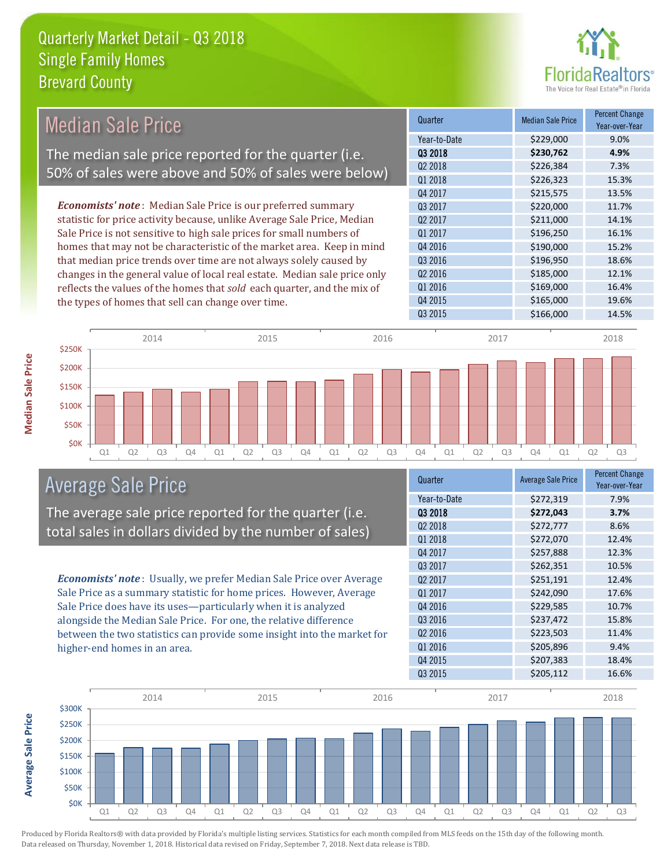

#### Quarter Median Sale Price Percent Change Year-over-Year Q3 2018 **\$230,762 4.9%** Year-to-Date \$229,000 9.0% Q4 2016 **\$190,000** 15.2% Q2 2018 \$226,384 7.3% Q1 2018 **\$226,323** 15.3% Q2 2017 \$211,000 14.1% Q1 2017 \$196,250 16.1% Q4 2017 **\$215,575** 13.5% Q3 2017 \$220,000 11.7% Q3 2016 \$196,950 18.6% Q2 2016 \$185,000 12.1% Q1 2016 **\$169,000** 16.4% Q4 2015 \$165,000 19.6% Q3 2015 \$166,000 14.5% *Economists' note* : Median Sale Price is our preferred summary statistic for price activity because, unlike Average Sale Price, Median Sale Price is not sensitive to high sale prices for small numbers of homes that may not be characteristic of the market area. Keep in mind that median price trends over time are not always solely caused by changes in the general value of local real estate. Median sale price only reflects the values of the homes that *sold* each quarter, and the mix of the types of homes that sell can change over time. Median Sale Price The median sale price reported for the quarter (i.e. 50% of sales were above and 50% of sales were below)



### Average Sale Price

The average sale price reported for the quarter (i.e. total sales in dollars divided by the number of sales)

*Economists' note* : Usually, we prefer Median Sale Price over Average Sale Price as a summary statistic for home prices. However, Average Sale Price does have its uses—particularly when it is analyzed alongside the Median Sale Price. For one, the relative difference between the two statistics can provide some insight into the market for higher-end homes in an area.

| Quarter             | <b>Average Sale Price</b> | <b>Percent Change</b><br>Year-over-Year |
|---------------------|---------------------------|-----------------------------------------|
| Year-to-Date        | \$272,319                 | 7.9%                                    |
| 03 2018             | \$272,043                 | 3.7%                                    |
| 02 2018             | \$272,777                 | 8.6%                                    |
| Q1 2018             | \$272,070                 | 12.4%                                   |
| Q4 2017             | \$257,888                 | 12.3%                                   |
| Q3 2017             | \$262,351                 | 10.5%                                   |
| Q <sub>2</sub> 2017 | \$251,191                 | 12.4%                                   |
| Q1 2017             | \$242,090                 | 17.6%                                   |
| Q4 2016             | \$229,585                 | 10.7%                                   |
| Q3 2016             | \$237,472                 | 15.8%                                   |
| Q <sub>2</sub> 2016 | \$223,503                 | 11.4%                                   |
| Q1 2016             | \$205,896                 | 9.4%                                    |
| Q4 2015             | \$207,383                 | 18.4%                                   |
| Q3 2015             | \$205,112                 | 16.6%                                   |



Average Sale Price **Average Sale Price**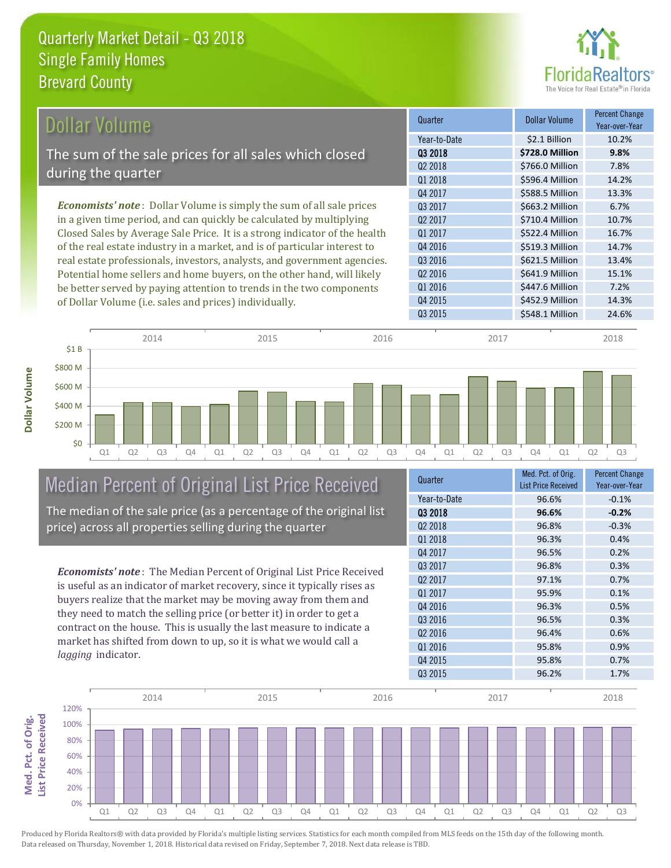

| Dollar Volume                                                               | Quarter             | <b>Dollar Volume</b> | <b>Percent Change</b><br>Year-over-Year |
|-----------------------------------------------------------------------------|---------------------|----------------------|-----------------------------------------|
|                                                                             | Year-to-Date        | \$2.1 Billion        | 10.2%                                   |
| The sum of the sale prices for all sales which closed                       | 03 2018             | \$728.0 Million      | 9.8%                                    |
| during the quarter                                                          | Q <sub>2</sub> 2018 | \$766.0 Million      | 7.8%                                    |
|                                                                             | Q1 2018             | \$596.4 Million      | 14.2%                                   |
|                                                                             | Q4 2017             | \$588.5 Million      | 13.3%                                   |
| <b>Economists' note:</b> Dollar Volume is simply the sum of all sale prices | Q3 2017             | \$663.2 Million      | 6.7%                                    |
| in a given time period, and can quickly be calculated by multiplying        | Q <sub>2</sub> 2017 | \$710.4 Million      | 10.7%                                   |
| Closed Sales by Average Sale Price. It is a strong indicator of the health  | Q1 2017             | \$522.4 Million      | 16.7%                                   |
| of the real estate industry in a market, and is of particular interest to   | Q4 2016             | \$519.3 Million      | 14.7%                                   |
| real estate professionals, investors, analysts, and government agencies.    | Q3 2016             | \$621.5 Million      | 13.4%                                   |
| Potential home sellers and home buyers, on the other hand, will likely      | Q <sub>2</sub> 2016 | \$641.9 Million      | 15.1%                                   |
| be better served by paying attention to trends in the two components        | Q1 2016             | \$447.6 Million      | 7.2%                                    |
| of Dollar Volume (i.e. sales and prices) individually.                      | Q4 2015             | \$452.9 Million      | 14.3%                                   |



Median Percent of Original List Price Received The median of the sale price (as a percentage of the original list price) across all properties selling during the quarter

*Economists' note* : The Median Percent of Original List Price Received is useful as an indicator of market recovery, since it typically rises as buyers realize that the market may be moving away from them and they need to match the selling price (or better it) in order to get a contract on the house. This is usually the last measure to indicate a market has shifted from down to up, so it is what we would call a *lagging* indicator.

| Quarter             | Med. Pct. of Orig.<br><b>List Price Received</b> | <b>Percent Change</b><br>Year-over-Year |
|---------------------|--------------------------------------------------|-----------------------------------------|
| Year-to-Date        | 96.6%                                            | $-0.1%$                                 |
| 03 2018             | 96.6%                                            | $-0.2%$                                 |
| Q <sub>2</sub> 2018 | 96.8%                                            | $-0.3%$                                 |
| Q1 2018             | 96.3%                                            | 0.4%                                    |
| Q4 2017             | 96.5%                                            | 0.2%                                    |
| 03 2017             | 96.8%                                            | 0.3%                                    |
| Q <sub>2</sub> 2017 | 97.1%                                            | 0.7%                                    |
| 01 2017             | 95.9%                                            | 0.1%                                    |
| Q4 2016             | 96.3%                                            | 0.5%                                    |
| Q3 2016             | 96.5%                                            | 0.3%                                    |
| Q <sub>2</sub> 2016 | 96.4%                                            | 0.6%                                    |
| Q1 2016             | 95.8%                                            | 0.9%                                    |
| Q4 2015             | 95.8%                                            | 0.7%                                    |
| Q3 2015             | 96.2%                                            | 1.7%                                    |

Q3 2015 **\$548.1 Million 24.6%** 

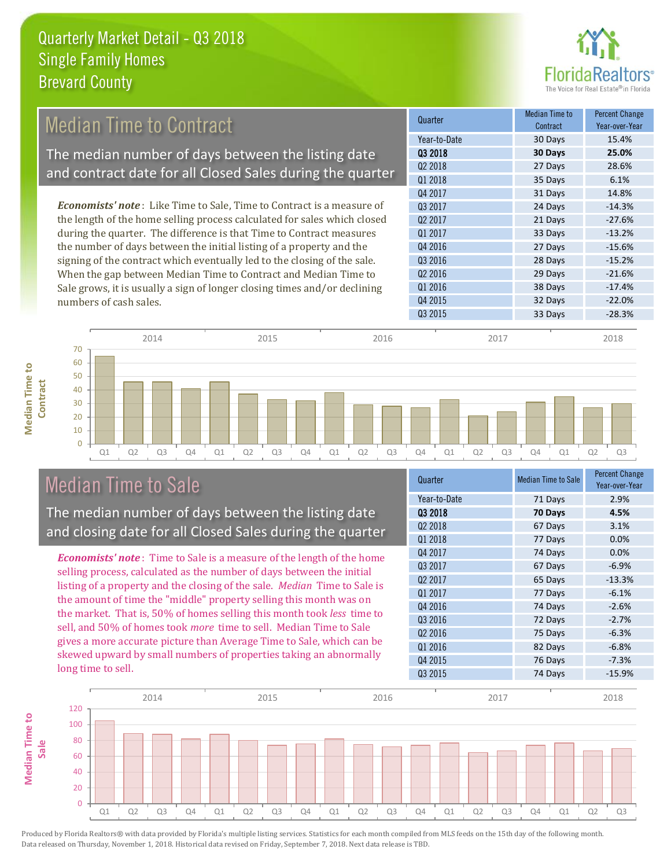

#### **Quarter Median Time to Redistribution** Median Time to Research **Contract** Percent Change Q1 2018 *Economists' note* : Like Time to Sale, Time to Contract is a measure of the length of the home selling process calculated for sales which closed during the quarter. The difference is that Time to Contract measures Median Time to Contract The median number of days between the listing date and contract date for all Closed Sales during the quarter

the number of days between the initial listing of a property and the signing of the contract which eventually led to the closing of the sale. When the gap between Median Time to Contract and Median Time to Sale grows, it is usually a sign of longer closing times and/or declining numbers of cash sales.





|    |    |    | 2014 |    |    |                | 2015           |    |    |    | 2016           |    |    |    | 2017           |    |    |    | 2018           |
|----|----|----|------|----|----|----------------|----------------|----|----|----|----------------|----|----|----|----------------|----|----|----|----------------|
| 70 |    |    |      |    |    |                |                |    |    |    |                |    |    |    |                |    |    |    |                |
| 60 |    |    |      |    |    |                |                |    |    |    |                |    |    |    |                |    |    |    |                |
|    |    |    |      |    |    |                |                |    |    |    |                |    |    |    |                |    |    |    |                |
| 50 |    |    |      |    |    |                |                |    |    |    |                |    |    |    |                |    |    |    |                |
| 40 |    |    |      |    |    |                |                |    |    |    |                |    |    |    |                |    |    |    |                |
| 30 |    |    |      |    |    |                |                |    |    |    |                |    |    |    |                |    |    |    |                |
|    |    |    |      |    |    |                |                |    |    |    |                |    |    |    |                |    |    |    |                |
| 20 |    |    |      |    |    |                |                |    |    |    |                |    |    |    |                |    |    |    |                |
| 10 |    |    |      |    |    |                |                |    |    |    |                |    |    |    |                |    |    |    |                |
|    |    |    |      |    |    |                |                |    |    |    |                |    |    |    |                |    |    |    |                |
|    | Q1 | Q2 | Q3   | Q4 | Q1 | Q <sub>2</sub> | Q <sub>3</sub> | Q4 | Q1 | Q2 | Q <sub>3</sub> | Q4 | Q1 | Q2 | Q <sub>3</sub> | Q4 | Q1 | Q2 | Q <sub>3</sub> |

## Median Time to Sale

The median number of days between the listing date and closing date for all Closed Sales during the quarter

*Economists' note* : Time to Sale is a measure of the length of the home selling process, calculated as the number of days between the initial listing of a property and the closing of the sale. *Median* Time to Sale is the amount of time the "middle" property selling this month was on the market. That is, 50% of homes selling this month took *less* time to sell, and 50% of homes took *more* time to sell. Median Time to Sale gives a more accurate picture than Average Time to Sale, which can be skewed upward by small numbers of properties taking an abnormally long time to sell.

| Quarter             | <b>Median Time to Sale</b> | <b>Percent Change</b><br>Year-over-Year |
|---------------------|----------------------------|-----------------------------------------|
| Year-to-Date        | 71 Days                    | 2.9%                                    |
| Q3 2018             | 70 Days                    | 4.5%                                    |
| Q <sub>2</sub> 2018 | 67 Days                    | 3.1%                                    |
| Q1 2018             | 77 Days                    | 0.0%                                    |
| Q4 2017             | 74 Days                    | 0.0%                                    |
| Q3 2017             | 67 Days                    | $-6.9%$                                 |
| 02 2017             | 65 Days                    | $-13.3%$                                |
| Q1 2017             | 77 Days                    | $-6.1%$                                 |
| Q4 2016             | 74 Days                    | $-2.6%$                                 |
| Q3 2016             | 72 Days                    | $-2.7%$                                 |
| 02 2016             | 75 Days                    | $-6.3%$                                 |
| Q1 2016             | 82 Days                    | $-6.8%$                                 |
| Q4 2015             | 76 Days                    | $-7.3%$                                 |
| Q3 2015             | 74 Days                    | $-15.9%$                                |

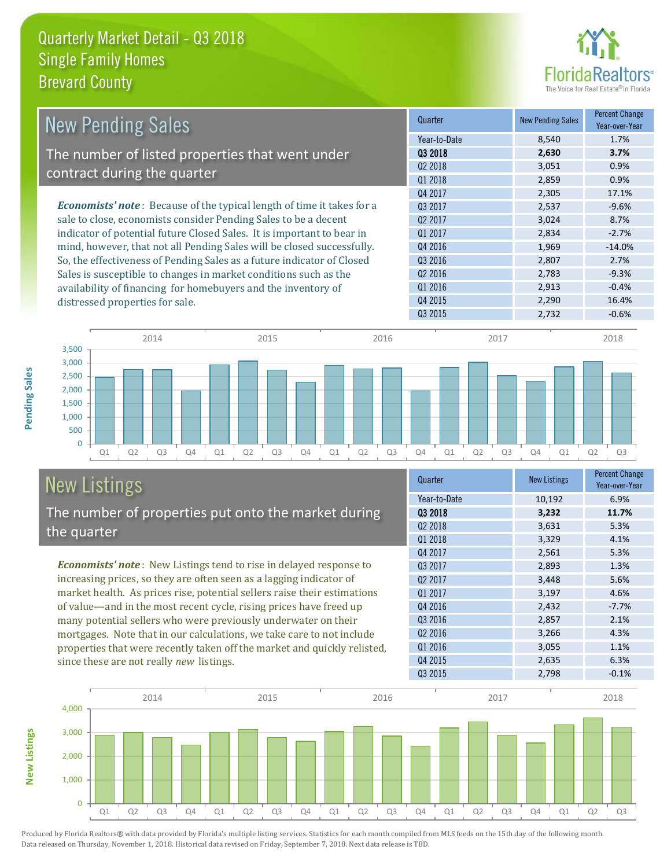

| <b>New Pending Sales</b>                                                      | Quarter             | <b>New Pending Sales</b> | <b>Percent Change</b><br>Year-over-Year |
|-------------------------------------------------------------------------------|---------------------|--------------------------|-----------------------------------------|
|                                                                               | Year-to-Date        | 8,540                    | 1.7%                                    |
| The number of listed properties that went under                               | 03 2018             | 2,630                    | 3.7%                                    |
|                                                                               | Q <sub>2</sub> 2018 | 3,051                    | 0.9%                                    |
| contract during the quarter                                                   | Q1 2018             | 2,859                    | 0.9%                                    |
|                                                                               | Q4 2017             | 2,305                    | 17.1%                                   |
| <b>Economists' note:</b> Because of the typical length of time it takes for a | 03 2017             | 2,537                    | $-9.6%$                                 |
| sale to close, economists consider Pending Sales to be a decent               | Q <sub>2</sub> 2017 | 3,024                    | 8.7%                                    |
| indicator of potential future Closed Sales. It is important to bear in        | Q1 2017             | 2,834                    | $-2.7%$                                 |
| mind, however, that not all Pending Sales will be closed successfully.        | Q4 2016             | 1,969                    | $-14.0%$                                |
| So, the effectiveness of Pending Sales as a future indicator of Closed        | Q3 2016             | 2,807                    | 2.7%                                    |
| Sales is susceptible to changes in market conditions such as the              | Q <sub>2</sub> 2016 | 2,783                    | $-9.3%$                                 |
| availability of financing for homebuyers and the inventory of                 | Q1 2016             | 2,913                    | $-0.4%$                                 |
| distressed properties for sale.                                               | Q4 2015             | 2,290                    | 16.4%                                   |



### New Listings The number of properties put onto the market during the quarter

*Economists' note* : New Listings tend to rise in delayed response to increasing prices, so they are often seen as a lagging indicator of market health. As prices rise, potential sellers raise their estimations of value—and in the most recent cycle, rising prices have freed up many potential sellers who were previously underwater on their mortgages. Note that in our calculations, we take care to not include properties that were recently taken off the market and quickly relisted, since these are not really *new* listings.

| Quarter             | <b>New Listings</b> | <b>Percent Change</b><br>Year-over-Year |
|---------------------|---------------------|-----------------------------------------|
| Year-to-Date        | 10,192              | 6.9%                                    |
| 03 2018             | 3,232               | 11.7%                                   |
| 02 2018             | 3,631               | 5.3%                                    |
| Q1 2018             | 3,329               | 4.1%                                    |
| Q4 2017             | 2,561               | 5.3%                                    |
| Q3 2017             | 2,893               | 1.3%                                    |
| Q <sub>2</sub> 2017 | 3,448               | 5.6%                                    |
| 01 2017             | 3,197               | 4.6%                                    |
| Q4 2016             | 2,432               | $-7.7%$                                 |
| Q3 2016             | 2,857               | 2.1%                                    |
| Q <sub>2</sub> 2016 | 3,266               | 4.3%                                    |
| Q1 2016             | 3,055               | 1.1%                                    |
| Q4 2015             | 2,635               | 6.3%                                    |
| Q3 2015             | 2,798               | $-0.1%$                                 |

 $Q3 2015$  2,732 -0.6%



**New Listings**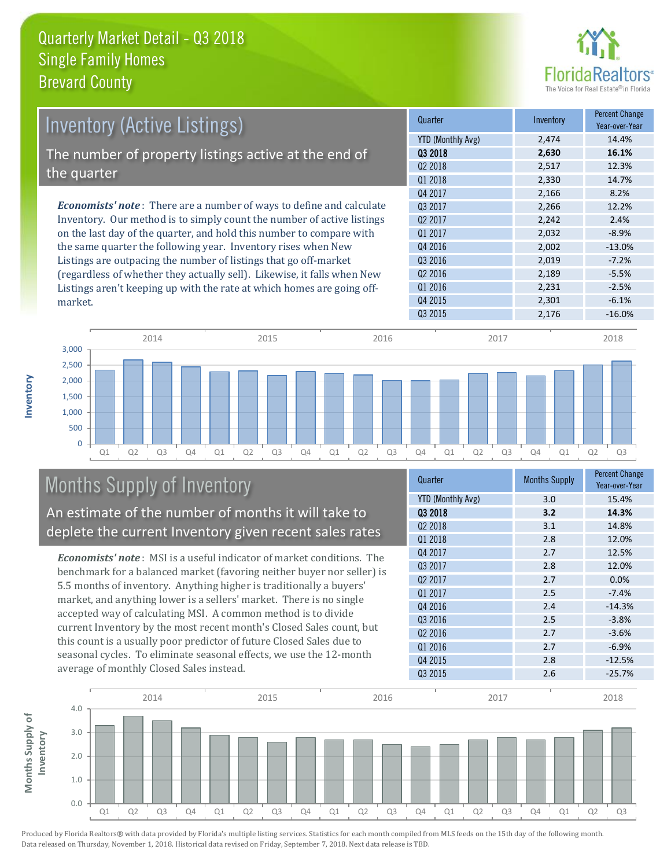

| <b>Inventory (Active Listings)</b>                                           | Quarter             | Inventory | <b>Percent Change</b><br>Year-over-Year |
|------------------------------------------------------------------------------|---------------------|-----------|-----------------------------------------|
|                                                                              | YTD (Monthly Avg)   | 2,474     | 14.4%                                   |
| The number of property listings active at the end of                         | 03 2018             | 2,630     | 16.1%                                   |
|                                                                              | Q <sub>2</sub> 2018 | 2,517     | 12.3%                                   |
| the quarter                                                                  | 01 2018             | 2,330     | 14.7%                                   |
|                                                                              | Q4 2017             | 2,166     | 8.2%                                    |
| <b>Economists' note</b> : There are a number of ways to define and calculate | 03 2017             | 2,266     | 12.2%                                   |
| Inventory. Our method is to simply count the number of active listings       | 02 2017             | 2,242     | 2.4%                                    |
| on the last day of the quarter, and hold this number to compare with         | 01 2017             | 2,032     | $-8.9%$                                 |
| the same quarter the following year. Inventory rises when New                | Q4 2016             | 2,002     | $-13.0\%$                               |
| Listings are outpacing the number of listings that go off-market             | Q3 2016             | 2,019     | $-7.2%$                                 |
| (regardless of whether they actually sell). Likewise, it falls when New      | Q <sub>2</sub> 2016 | 2,189     | $-5.5%$                                 |
| Listings aren't keening un with the rate at which homes are going off-       | 01 2016             | 2,231     | $-2.5%$                                 |



## Months Supply of Inventory

An estimate of the number of months it will take to deplete the current Inventory given recent sales rates

Listings aren't keeping up with the rate at which homes are going off-

*Economists' note* : MSI is a useful indicator of market conditions. The benchmark for a balanced market (favoring neither buyer nor seller) is 5.5 months of inventory. Anything higher is traditionally a buyers' market, and anything lower is a sellers' market. There is no single accepted way of calculating MSI. A common method is to divide current Inventory by the most recent month's Closed Sales count, but this count is a usually poor predictor of future Closed Sales due to seasonal cycles. To eliminate seasonal effects, we use the 12-month average of monthly Closed Sales instead.

| Quarter                  | <b>Months Supply</b> | <b>Percent Change</b><br>Year-over-Year |
|--------------------------|----------------------|-----------------------------------------|
| <b>YTD (Monthly Avg)</b> | 3.0                  | 15.4%                                   |
| 03 2018                  | 3.2                  | 14.3%                                   |
| Q <sub>2</sub> 2018      | 3.1                  | 14.8%                                   |
| Q1 2018                  | 2.8                  | 12.0%                                   |
| Q4 2017                  | 2.7                  | 12.5%                                   |
| Q3 2017                  | 2.8                  | 12.0%                                   |
| Q <sub>2</sub> 2017      | 2.7                  | 0.0%                                    |
| Q1 2017                  | 2.5                  | $-7.4%$                                 |
| Q4 2016                  | 2.4                  | $-14.3%$                                |
| Q3 2016                  | 2.5                  | $-3.8%$                                 |
| 02 2016                  | 2.7                  | $-3.6%$                                 |
| Q1 2016                  | 2.7                  | $-6.9%$                                 |
| Q4 2015                  | 2.8                  | $-12.5%$                                |
| Q3 2015                  | 2.6                  | $-25.7%$                                |

Q4 2015 2,301 -6.1%



Produced by Florida Realtors® with data provided by Florida's multiple listing services. Statistics for each month compiled from MLS feeds on the 15th day of the following month. Data released on Thursday, November 1, 2018. Historical data revised on Friday, September 7, 2018. Next data release is TBD.

market.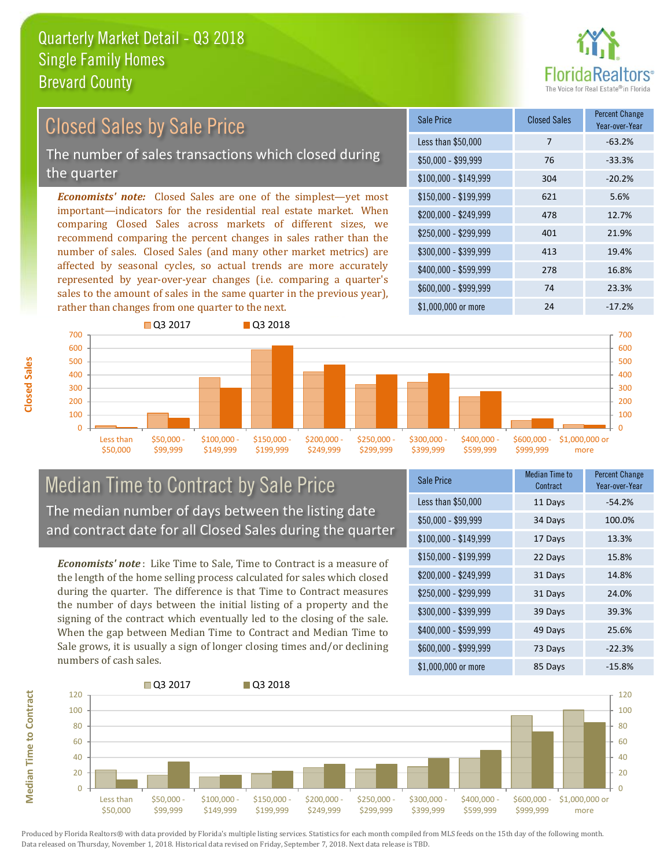rather than changes from one quarter to the next.



#### *Economists' note:* Closed Sales are one of the simplest—yet most important—indicators for the residential real estate market. When comparing Closed Sales across markets of different sizes, we recommend comparing the percent changes in sales rather than the number of sales. Closed Sales (and many other market metrics) are affected by seasonal cycles, so actual trends are more accurately represented by year-over-year changes (i.e. comparing a quarter's sales to the amount of sales in the same quarter in the previous year), \$250,000 - \$299,999 401 21.9% \$300,000 - \$399,999 413 19.4% \$400,000 - \$599,999 278 16.8% \$600,000 - \$999,999 74 23.3% \$150,000 - \$199,999 621 5.6% \$200,000 - \$249,999 478 12.7% \$100,000 - \$149,999 304 -20.2% Sale Price Closed Sales Percent Change Year-over-Year Less than \$50,000 7 7 -63.2% \$50,000 - \$99,999 76 -33.3% Closed Sales by Sale Price The number of sales transactions which closed during the quarter



### Median Time to Contract by Sale Price The median number of days between the listing date and contract date for all Closed Sales during the quarter

*Economists' note* : Like Time to Sale, Time to Contract is a measure of the length of the home selling process calculated for sales which closed during the quarter. The difference is that Time to Contract measures the number of days between the initial listing of a property and the signing of the contract which eventually led to the closing of the sale. When the gap between Median Time to Contract and Median Time to Sale grows, it is usually a sign of longer closing times and/or declining numbers of cash sales.

| Sale Price            | <b>Median Time to</b><br>Contract | <b>Percent Change</b><br>Year-over-Year |
|-----------------------|-----------------------------------|-----------------------------------------|
| Less than \$50,000    | 11 Days                           | $-54.2%$                                |
| $$50,000 - $99,999$   | 34 Days                           | 100.0%                                  |
| $$100,000 - $149,999$ | 17 Days                           | 13.3%                                   |
| $$150,000 - $199,999$ | 22 Days                           | 15.8%                                   |
| \$200,000 - \$249,999 | 31 Days                           | 14.8%                                   |
| \$250,000 - \$299,999 | 31 Days                           | 24.0%                                   |
| \$300,000 - \$399,999 | 39 Days                           | 39.3%                                   |
| \$400,000 - \$599,999 | 49 Days                           | 25.6%                                   |
| \$600,000 - \$999,999 | 73 Days                           | $-22.3%$                                |
| \$1,000,000 or more   | 85 Days                           | $-15.8%$                                |

\$1,000,000 or more 24  $-17.2\%$ 



**Closed Sales**

**Median Time to Contract Median Time to Contract**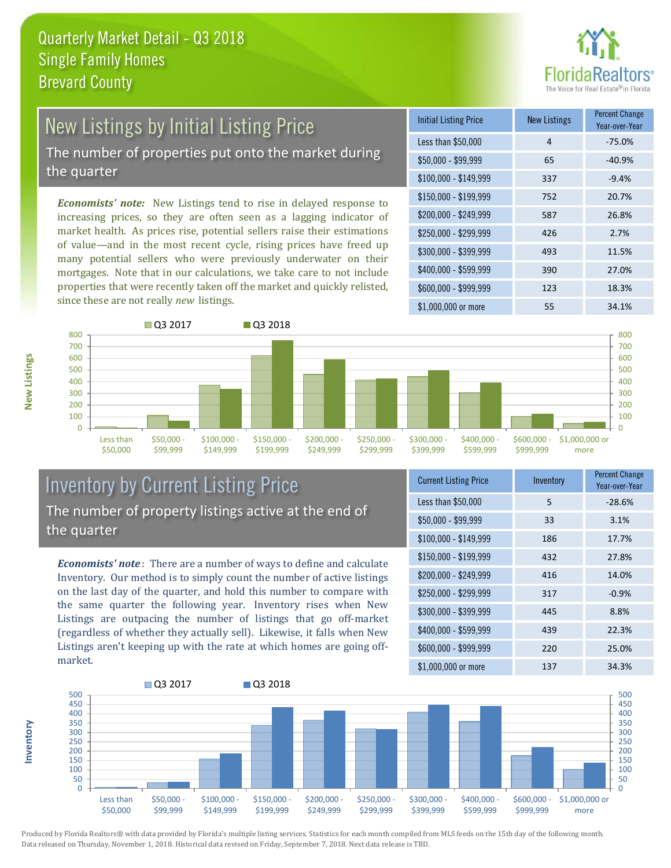

## New Listings by Initial Listing Price The number of properties put onto the market during

the quarter

*Economists' note:* New Listings tend to rise in delayed response to increasing prices, so they are often seen as a lagging indicator of market health. As prices rise, potential sellers raise their estimations of value—and in the most recent cycle, rising prices have freed up many potential sellers who were previously underwater on their mortgages. Note that in our calculations, we take care to not include properties that were recently taken off the market and quickly relisted, since these are not really *new* listings.

| <b>Initial Listing Price</b> | <b>New Listings</b> | <b>Percent Change</b><br>Year-over-Year |
|------------------------------|---------------------|-----------------------------------------|
| Less than \$50,000           | 4                   | $-75.0%$                                |
| $$50,000 - $99,999$          | 65                  | $-40.9%$                                |
| $$100,000 - $149,999$        | 337                 | $-9.4%$                                 |
| $$150,000 - $199,999$        | 752                 | 20.7%                                   |
| \$200,000 - \$249,999        | 587                 | 26.8%                                   |
| \$250,000 - \$299,999        | 426                 | 2.7%                                    |
| \$300,000 - \$399,999        | 493                 | 11.5%                                   |
| \$400,000 - \$599,999        | 390                 | 27.0%                                   |
| \$600,000 - \$999,999        | 123                 | 18.3%                                   |
| \$1,000,000 or more          | 55                  | 34.1%                                   |



#### Inventory by Current Listing Price The number of property listings active at the end of the quarter

*Economists' note* : There are a number of ways to define and calculate Inventory. Our method is to simply count the number of active listings on the last day of the quarter, and hold this number to compare with the same quarter the following year. Inventory rises when New Listings are outpacing the number of listings that go off-market (regardless of whether they actually sell). Likewise, it falls when New Listings aren't keeping up with the rate at which homes are going offmarket.

| <b>Current Listing Price</b> | Inventory | Percent Change<br>Year-over-Year |
|------------------------------|-----------|----------------------------------|
| Less than \$50,000           | 5         | $-28.6%$                         |
| $$50,000 - $99,999$          | 33        | 3.1%                             |
| $$100,000 - $149,999$        | 186       | 17.7%                            |
| $$150,000 - $199,999$        | 432       | 27.8%                            |
| \$200,000 - \$249,999        | 416       | 14.0%                            |
| \$250,000 - \$299,999        | 317       | $-0.9%$                          |
| \$300,000 - \$399,999        | 445       | 8.8%                             |
| \$400,000 - \$599,999        | 439       | 22.3%                            |
| \$600,000 - \$999,999        | 220       | 25.0%                            |
| \$1,000,000 or more          | 137       | 34.3%                            |



Produced by Florida Realtors® with data provided by Florida's multiple listing services. Statistics for each month compiled from MLS feeds on the 15th day of the following month. Data released on Thursday, November 1, 2018. Historical data revised on Friday, September 7, 2018. Next data release is TBD.

**Inventory**